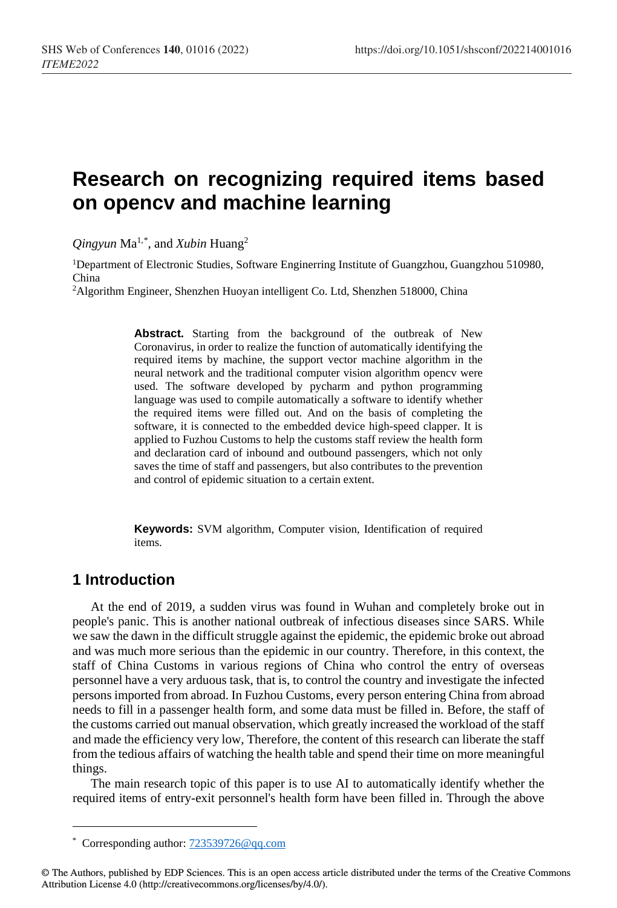# **Research on recognizing required items based on opencv and machine learning**

*Qingyun* Ma1,[\\*](#page-0-0) , and *Xubin* Huang2

<sup>1</sup>Department of Electronic Studies, Software Enginerring Institute of Guangzhou, Guangzhou 510980, China

2Algorithm Engineer, Shenzhen Huoyan intelligent Co. Ltd, Shenzhen 518000, China

**Abstract.** Starting from the background of the outbreak of New Coronavirus, in order to realize the function of automatically identifying the required items by machine, the support vector machine algorithm in the neural network and the traditional computer vision algorithm opencv were used. The software developed by pycharm and python programming language was used to compile automatically a software to identify whether the required items were filled out. And on the basis of completing the software, it is connected to the embedded device high-speed clapper. It is applied to Fuzhou Customs to help the customs staff review the health form and declaration card of inbound and outbound passengers, which not only saves the time of staff and passengers, but also contributes to the prevention and control of epidemic situation to a certain extent.

**Keywords:** SVM algorithm, Computer vision, Identification of required items.

### **1 Introduction**

l

At the end of 2019, a sudden virus was found in Wuhan and completely broke out in people's panic. This is another national outbreak of infectious diseases since SARS. While we saw the dawn in the difficult struggle against the epidemic, the epidemic broke out abroad and was much more serious than the epidemic in our country. Therefore, in this context, the staff of China Customs in various regions of China who control the entry of overseas personnel have a very arduous task, that is, to control the country and investigate the infected persons imported from abroad. In Fuzhou Customs, every person entering China from abroad needs to fill in a passenger health form, and some data must be filled in. Before, the staff of the customs carried out manual observation, which greatly increased the workload of the staff and made the efficiency very low, Therefore, the content of this research can liberate the staff from the tedious affairs of watching the health table and spend their time on more meaningful things.

The main research topic of this paper is to use AI to automatically identify whether the required items of entry-exit personnel's health form have been filled in. Through the above

<sup>\*</sup> Corresponding author[: 723539726@qq.com](mailto:723539726@qq.com)

<span id="page-0-0"></span><sup>©</sup> The Authors, published by EDP Sciences. This is an open access article distributed under the terms of the Creative Commons Attribution License 4.0 (http://creativecommons.org/licenses/by/4.0/).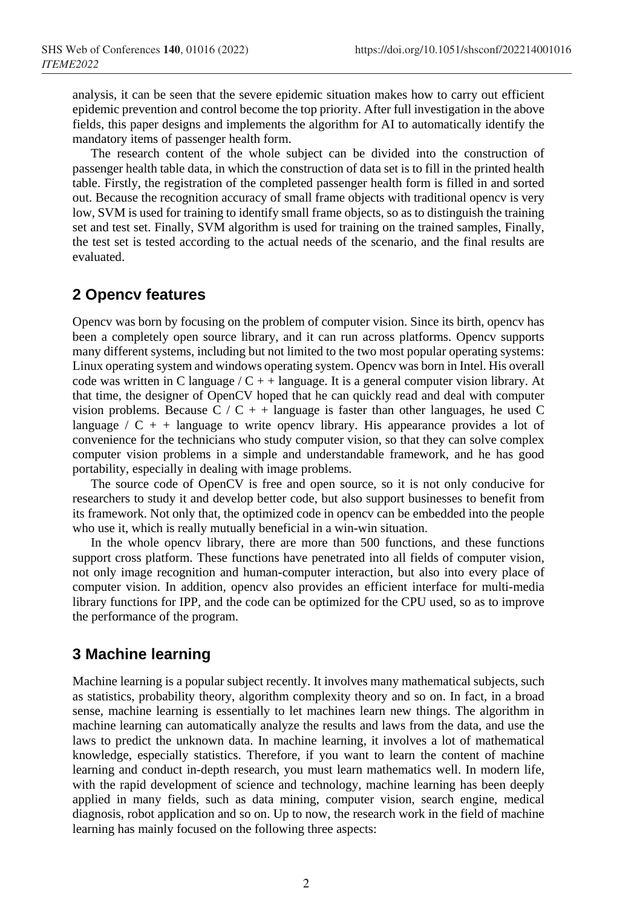analysis, it can be seen that the severe epidemic situation makes how to carry out efficient epidemic prevention and control become the top priority. After full investigation in the above fields, this paper designs and implements the algorithm for AI to automatically identify the mandatory items of passenger health form.

The research content of the whole subject can be divided into the construction of passenger health table data, in which the construction of data set is to fill in the printed health table. Firstly, the registration of the completed passenger health form is filled in and sorted out. Because the recognition accuracy of small frame objects with traditional opencv is very low, SVM is used for training to identify small frame objects, so as to distinguish the training set and test set. Finally, SVM algorithm is used for training on the trained samples, Finally, the test set is tested according to the actual needs of the scenario, and the final results are evaluated.

#### **2 Opencv features**

Opencv was born by focusing on the problem of computer vision. Since its birth, opencv has been a completely open source library, and it can run across platforms. Opencv supports many different systems, including but not limited to the two most popular operating systems: Linux operating system and windows operating system. Opencv was born in Intel. His overall code was written in C language /  $C + 1$  language. It is a general computer vision library. At that time, the designer of OpenCV hoped that he can quickly read and deal with computer vision problems. Because C / C + + language is faster than other languages, he used C language /  $C + +$  language to write opency library. His appearance provides a lot of convenience for the technicians who study computer vision, so that they can solve complex computer vision problems in a simple and understandable framework, and he has good portability, especially in dealing with image problems.

The source code of OpenCV is free and open source, so it is not only conducive for researchers to study it and develop better code, but also support businesses to benefit from its framework. Not only that, the optimized code in opencv can be embedded into the people who use it, which is really mutually beneficial in a win-win situation.

In the whole opencv library, there are more than 500 functions, and these functions support cross platform. These functions have penetrated into all fields of computer vision, not only image recognition and human-computer interaction, but also into every place of computer vision. In addition, opencv also provides an efficient interface for multi-media library functions for IPP, and the code can be optimized for the CPU used, so as to improve the performance of the program.

### **3 Machine learning**

Machine learning is a popular subject recently. It involves many mathematical subjects, such as statistics, probability theory, algorithm complexity theory and so on. In fact, in a broad sense, machine learning is essentially to let machines learn new things. The algorithm in machine learning can automatically analyze the results and laws from the data, and use the laws to predict the unknown data. In machine learning, it involves a lot of mathematical knowledge, especially statistics. Therefore, if you want to learn the content of machine learning and conduct in-depth research, you must learn mathematics well. In modern life, with the rapid development of science and technology, machine learning has been deeply applied in many fields, such as data mining, computer vision, search engine, medical diagnosis, robot application and so on. Up to now, the research work in the field of machine learning has mainly focused on the following three aspects: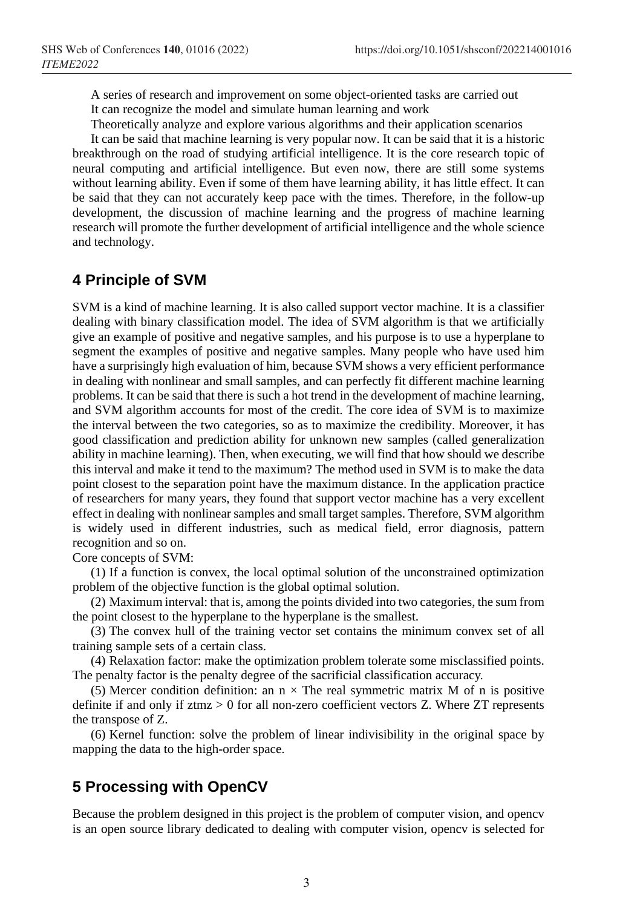A series of research and improvement on some object-oriented tasks are carried out It can recognize the model and simulate human learning and work

Theoretically analyze and explore various algorithms and their application scenarios

It can be said that machine learning is very popular now. It can be said that it is a historic breakthrough on the road of studying artificial intelligence. It is the core research topic of neural computing and artificial intelligence. But even now, there are still some systems without learning ability. Even if some of them have learning ability, it has little effect. It can be said that they can not accurately keep pace with the times. Therefore, in the follow-up development, the discussion of machine learning and the progress of machine learning research will promote the further development of artificial intelligence and the whole science and technology.

#### **4 Principle of SVM**

SVM is a kind of machine learning. It is also called support vector machine. It is a classifier dealing with binary classification model. The idea of SVM algorithm is that we artificially give an example of positive and negative samples, and his purpose is to use a hyperplane to segment the examples of positive and negative samples. Many people who have used him have a surprisingly high evaluation of him, because SVM shows a very efficient performance in dealing with nonlinear and small samples, and can perfectly fit different machine learning problems. It can be said that there is such a hot trend in the development of machine learning, and SVM algorithm accounts for most of the credit. The core idea of SVM is to maximize the interval between the two categories, so as to maximize the credibility. Moreover, it has good classification and prediction ability for unknown new samples (called generalization ability in machine learning). Then, when executing, we will find that how should we describe this interval and make it tend to the maximum? The method used in SVM is to make the data point closest to the separation point have the maximum distance. In the application practice of researchers for many years, they found that support vector machine has a very excellent effect in dealing with nonlinear samples and small target samples. Therefore, SVM algorithm is widely used in different industries, such as medical field, error diagnosis, pattern recognition and so on.

Core concepts of SVM:

(1) If a function is convex, the local optimal solution of the unconstrained optimization problem of the objective function is the global optimal solution.

(2) Maximum interval: that is, among the points divided into two categories, the sum from the point closest to the hyperplane to the hyperplane is the smallest.

(3) The convex hull of the training vector set contains the minimum convex set of all training sample sets of a certain class.

(4) Relaxation factor: make the optimization problem tolerate some misclassified points. The penalty factor is the penalty degree of the sacrificial classification accuracy.

(5) Mercer condition definition: an  $n \times$  The real symmetric matrix M of n is positive definite if and only if  $z$ tmz  $> 0$  for all non-zero coefficient vectors Z. Where  $ZT$  represents the transpose of Z.

(6) Kernel function: solve the problem of linear indivisibility in the original space by mapping the data to the high-order space.

### **5 Processing with OpenCV**

Because the problem designed in this project is the problem of computer vision, and opencv is an open source library dedicated to dealing with computer vision, opencv is selected for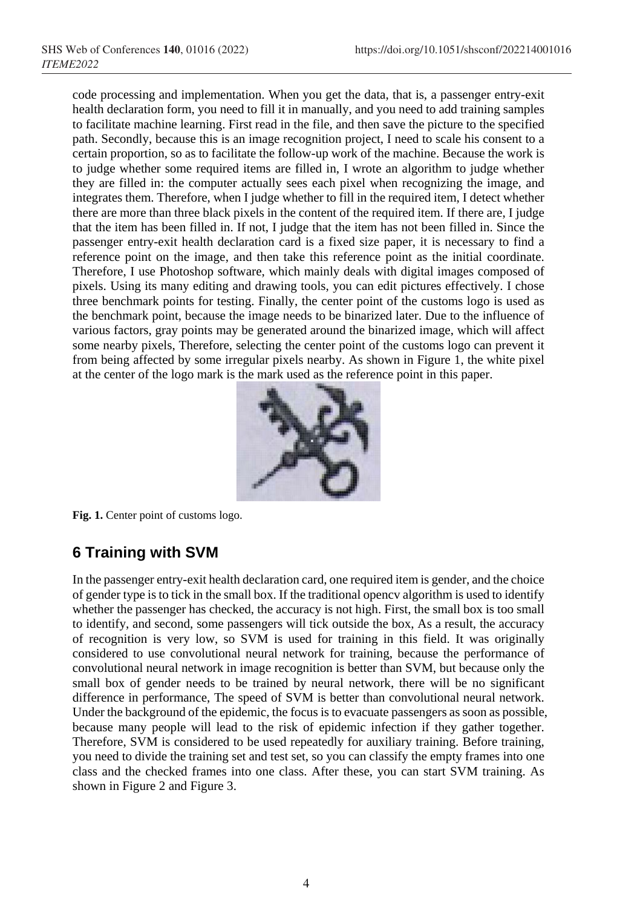code processing and implementation. When you get the data, that is, a passenger entry-exit health declaration form, you need to fill it in manually, and you need to add training samples to facilitate machine learning. First read in the file, and then save the picture to the specified path. Secondly, because this is an image recognition project, I need to scale his consent to a certain proportion, so as to facilitate the follow-up work of the machine. Because the work is to judge whether some required items are filled in, I wrote an algorithm to judge whether they are filled in: the computer actually sees each pixel when recognizing the image, and integrates them. Therefore, when I judge whether to fill in the required item, I detect whether there are more than three black pixels in the content of the required item. If there are, I judge that the item has been filled in. If not, I judge that the item has not been filled in. Since the passenger entry-exit health declaration card is a fixed size paper, it is necessary to find a reference point on the image, and then take this reference point as the initial coordinate. Therefore, I use Photoshop software, which mainly deals with digital images composed of pixels. Using its many editing and drawing tools, you can edit pictures effectively. I chose three benchmark points for testing. Finally, the center point of the customs logo is used as the benchmark point, because the image needs to be binarized later. Due to the influence of various factors, gray points may be generated around the binarized image, which will affect some nearby pixels, Therefore, selecting the center point of the customs logo can prevent it from being affected by some irregular pixels nearby. As shown in Figure 1, the white pixel at the center of the logo mark is the mark used as the reference point in this paper.



**Fig. 1.** Center point of customs logo.

## **6 Training with SVM**

In the passenger entry-exit health declaration card, one required item is gender, and the choice of gender type is to tick in the small box. If the traditional opencv algorithm is used to identify whether the passenger has checked, the accuracy is not high. First, the small box is too small to identify, and second, some passengers will tick outside the box, As a result, the accuracy of recognition is very low, so SVM is used for training in this field. It was originally considered to use convolutional neural network for training, because the performance of convolutional neural network in image recognition is better than SVM, but because only the small box of gender needs to be trained by neural network, there will be no significant difference in performance, The speed of SVM is better than convolutional neural network. Under the background of the epidemic, the focus is to evacuate passengers as soon as possible, because many people will lead to the risk of epidemic infection if they gather together. Therefore, SVM is considered to be used repeatedly for auxiliary training. Before training, you need to divide the training set and test set, so you can classify the empty frames into one class and the checked frames into one class. After these, you can start SVM training. As shown in Figure 2 and Figure 3.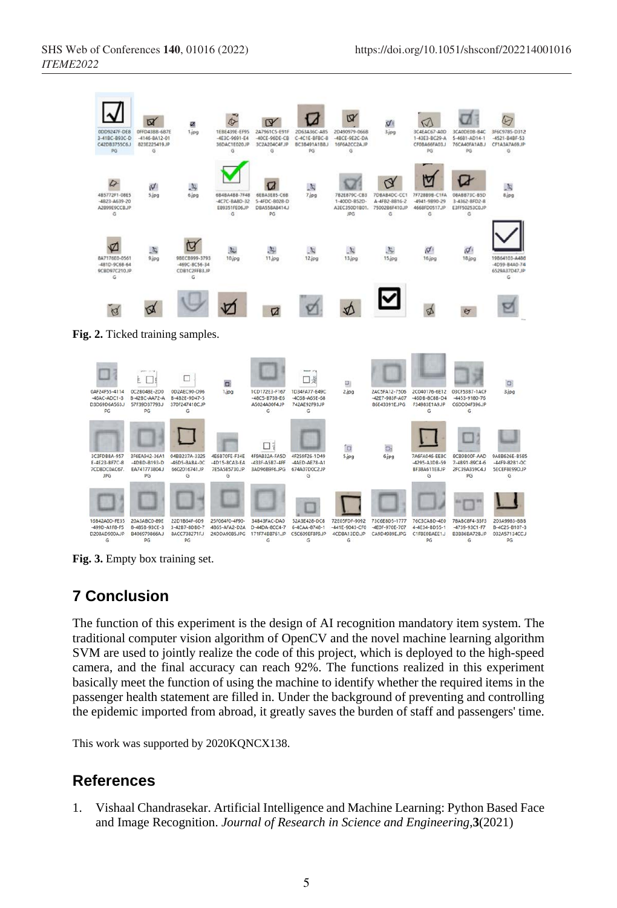

**Fig. 3.** Empty box training set.

### **7 Conclusion**

The function of this experiment is the design of AI recognition mandatory item system. The traditional computer vision algorithm of OpenCV and the novel machine learning algorithm SVM are used to jointly realize the code of this project, which is deployed to the high-speed camera, and the final accuracy can reach 92%. The functions realized in this experiment basically meet the function of using the machine to identify whether the required items in the passenger health statement are filled in. Under the background of preventing and controlling the epidemic imported from abroad, it greatly saves the burden of staff and passengers' time.

This work was supported by 2020KQNCX138.

### **References**

1. Vishaal Chandrasekar. Artificial Intelligence and Machine Learning: Python Based Face and Image Recognition. *Journal of Research in Science and Engineering*,**3**(2021)